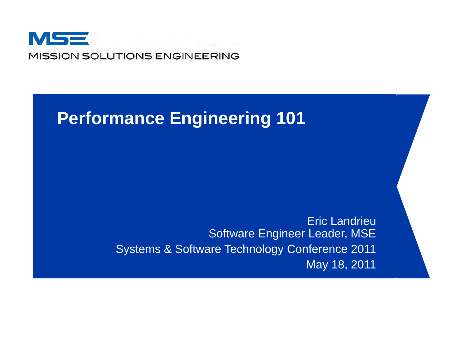

# **P f E i i 101 Per formance Engineering**

Eric LandrieuSoftware Engineer Leader, MSE Systems & Software Technology Conference 2011 May 18, 2011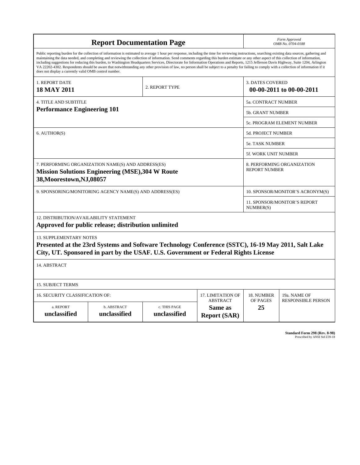| <b>Report Documentation Page</b>                                                                                                                                                                                                                                                                                                                                                                                                                                                                                                                                                                                                                                                                                                                                                                                                                                   |                             |                              |                                                   |                          | Form Approved<br>OMB No. 0704-0188                 |  |  |  |
|--------------------------------------------------------------------------------------------------------------------------------------------------------------------------------------------------------------------------------------------------------------------------------------------------------------------------------------------------------------------------------------------------------------------------------------------------------------------------------------------------------------------------------------------------------------------------------------------------------------------------------------------------------------------------------------------------------------------------------------------------------------------------------------------------------------------------------------------------------------------|-----------------------------|------------------------------|---------------------------------------------------|--------------------------|----------------------------------------------------|--|--|--|
| Public reporting burden for the collection of information is estimated to average 1 hour per response, including the time for reviewing instructions, searching existing data sources, gathering and<br>maintaining the data needed, and completing and reviewing the collection of information. Send comments regarding this burden estimate or any other aspect of this collection of information,<br>including suggestions for reducing this burden, to Washington Headquarters Services, Directorate for Information Operations and Reports, 1215 Jefferson Davis Highway, Suite 1204, Arlington<br>VA 22202-4302. Respondents should be aware that notwithstanding any other provision of law, no person shall be subject to a penalty for failing to comply with a collection of information if it<br>does not display a currently valid OMB control number. |                             |                              |                                                   |                          |                                                    |  |  |  |
| 1. REPORT DATE                                                                                                                                                                                                                                                                                                                                                                                                                                                                                                                                                                                                                                                                                                                                                                                                                                                     |                             |                              |                                                   | <b>3. DATES COVERED</b>  |                                                    |  |  |  |
| <b>18 MAY 2011</b>                                                                                                                                                                                                                                                                                                                                                                                                                                                                                                                                                                                                                                                                                                                                                                                                                                                 |                             | 2. REPORT TYPE               |                                                   | 00-00-2011 to 00-00-2011 |                                                    |  |  |  |
| <b>4. TITLE AND SUBTITLE</b>                                                                                                                                                                                                                                                                                                                                                                                                                                                                                                                                                                                                                                                                                                                                                                                                                                       | 5a. CONTRACT NUMBER         |                              |                                                   |                          |                                                    |  |  |  |
| <b>Performance Engineering 101</b>                                                                                                                                                                                                                                                                                                                                                                                                                                                                                                                                                                                                                                                                                                                                                                                                                                 |                             |                              |                                                   |                          | <b>5b. GRANT NUMBER</b>                            |  |  |  |
|                                                                                                                                                                                                                                                                                                                                                                                                                                                                                                                                                                                                                                                                                                                                                                                                                                                                    |                             |                              |                                                   |                          | 5c. PROGRAM ELEMENT NUMBER                         |  |  |  |
| 6. AUTHOR(S)                                                                                                                                                                                                                                                                                                                                                                                                                                                                                                                                                                                                                                                                                                                                                                                                                                                       |                             |                              |                                                   |                          | <b>5d. PROJECT NUMBER</b>                          |  |  |  |
|                                                                                                                                                                                                                                                                                                                                                                                                                                                                                                                                                                                                                                                                                                                                                                                                                                                                    |                             |                              |                                                   |                          | <b>5e. TASK NUMBER</b>                             |  |  |  |
|                                                                                                                                                                                                                                                                                                                                                                                                                                                                                                                                                                                                                                                                                                                                                                                                                                                                    |                             |                              |                                                   |                          | 5f. WORK UNIT NUMBER                               |  |  |  |
| 7. PERFORMING ORGANIZATION NAME(S) AND ADDRESS(ES)<br><b>Mission Solutions Engineering (MSE), 304 W Route</b><br>38, Moorestown, NJ, 08057                                                                                                                                                                                                                                                                                                                                                                                                                                                                                                                                                                                                                                                                                                                         |                             |                              |                                                   |                          | 8. PERFORMING ORGANIZATION<br><b>REPORT NUMBER</b> |  |  |  |
| 9. SPONSORING/MONITORING AGENCY NAME(S) AND ADDRESS(ES)                                                                                                                                                                                                                                                                                                                                                                                                                                                                                                                                                                                                                                                                                                                                                                                                            |                             |                              |                                                   |                          | 10. SPONSOR/MONITOR'S ACRONYM(S)                   |  |  |  |
|                                                                                                                                                                                                                                                                                                                                                                                                                                                                                                                                                                                                                                                                                                                                                                                                                                                                    |                             |                              |                                                   |                          | <b>11. SPONSOR/MONITOR'S REPORT</b><br>NUMBER(S)   |  |  |  |
| <b>12. DISTRIBUTION/AVAILABILITY STATEMENT</b><br>Approved for public release; distribution unlimited                                                                                                                                                                                                                                                                                                                                                                                                                                                                                                                                                                                                                                                                                                                                                              |                             |                              |                                                   |                          |                                                    |  |  |  |
| <b>13. SUPPLEMENTARY NOTES</b><br>Presented at the 23rd Systems and Software Technology Conference (SSTC), 16-19 May 2011, Salt Lake<br>City, UT. Sponsored in part by the USAF. U.S. Government or Federal Rights License                                                                                                                                                                                                                                                                                                                                                                                                                                                                                                                                                                                                                                         |                             |                              |                                                   |                          |                                                    |  |  |  |
| 14. ABSTRACT                                                                                                                                                                                                                                                                                                                                                                                                                                                                                                                                                                                                                                                                                                                                                                                                                                                       |                             |                              |                                                   |                          |                                                    |  |  |  |
| <b>15. SUBJECT TERMS</b>                                                                                                                                                                                                                                                                                                                                                                                                                                                                                                                                                                                                                                                                                                                                                                                                                                           |                             |                              |                                                   |                          |                                                    |  |  |  |
| 16. SECURITY CLASSIFICATION OF:                                                                                                                                                                                                                                                                                                                                                                                                                                                                                                                                                                                                                                                                                                                                                                                                                                    |                             | 18. NUMBER                   | 19a. NAME OF                                      |                          |                                                    |  |  |  |
| a. REPORT<br>unclassified                                                                                                                                                                                                                                                                                                                                                                                                                                                                                                                                                                                                                                                                                                                                                                                                                                          | b. ABSTRACT<br>unclassified | c. THIS PAGE<br>unclassified | <b>ABSTRACT</b><br>Same as<br><b>Report (SAR)</b> | OF PAGES<br>25           | <b>RESPONSIBLE PERSON</b>                          |  |  |  |

**Standard Form 298 (Rev. 8-98)**<br>Prescribed by ANSI Std Z39-18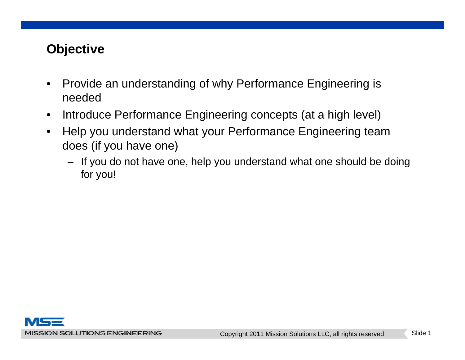## **Objective**

- $\bullet$  Provide an understanding of why Performance Engineering is needed
- $\bullet$ Introduce Performance Engineering concepts (at a high level)
- $\bullet$  Help you understand what your Performance Engineering team does (if you have one)
	- If you do not have one, help you understand what one should be doing for you!

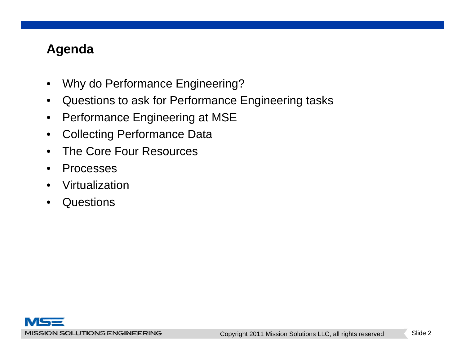## **Agenda**

- •Why do Performance Engineering?
- $\bullet$ Questions to ask for Performance Engineering tasks
- $\bullet$ Performance Engineering at MSE
- $\bullet$ Collecting Performance Data
- •The Core Four Resources
- •Processes
- •Virtualization
- •Questions

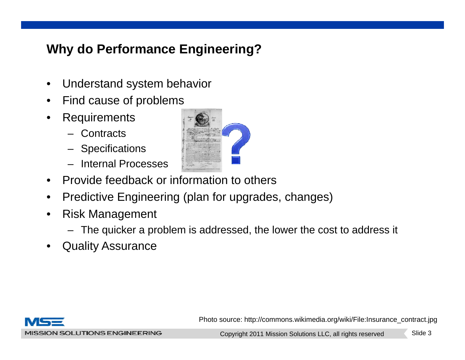## **Why do Performance Engineering?**

- •Understand system behavior
- •Find cause of problems
- • Requirements
	- Contracts
	- Specifications
	- Internal Processes
- $\bullet$ Provide feedback or information to others
- $\bullet$ Predictive Engineering (plan for upgrades, changes)
- • Risk Management
	- The quicker a problem is addressed, the lower the cost to address it
- •Quality Assurance





Photo source: http://commons.wikimedia.org/wiki/File:Insurance\_contract.jpg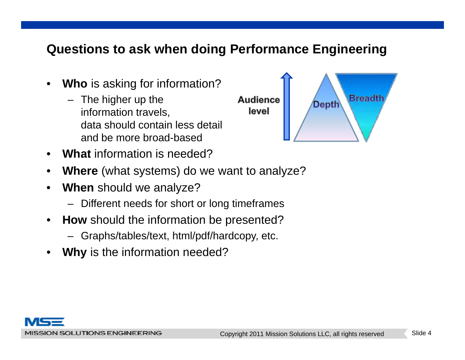#### **Questions to ask when doing Performance Engineering**

- • **Who** is asking for information?
	- The higher up the information travels, data should contain less detail and be more broad-based
- •**What** information is needed?
- •**Where** (what systems) do we want to analyze?
- • **When** should we analyze?
	- –Different needs for short or long timeframes
- $\bullet$  **How** should the information be presented?
	- Graphs/tables/text, html/pdf/hardcopy, etc.
- •• Why is the information needed?

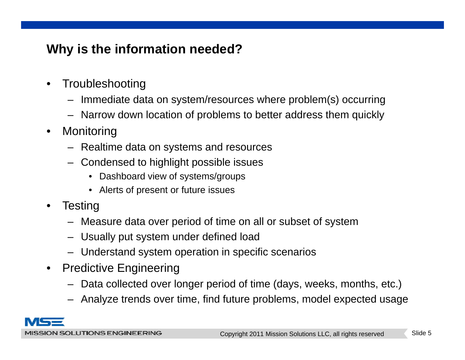## **Why is the information needed?**

- •**Troubleshooting** 
	- Immediate data on system/resources where problem(s) occurring
	- Narrow down location of problems to better address them quickly
- •**Monitoring** 
	- Realtime data on systems and resources
	- Condensed to highlight possible issues
		- Dashboard view of systems/groups
		- Alerts of present or future issues
- $\bullet$ • Testing
	- Measure data over period of time on all or subset of system
	- Usually put system under defined load
	- Understand system operation in specific scenarios
- $\bullet$  Predictive Engineering
	- Data collected over longer period of time (days, weeks, months, etc.)
	- Analyze trends over time, find future problems, model expected usage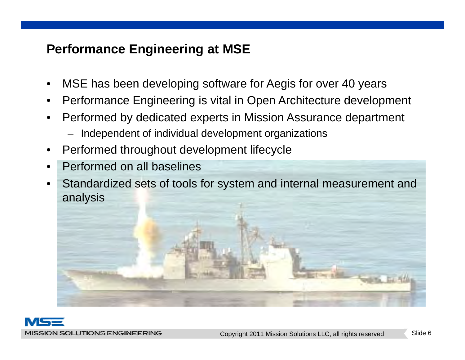#### **Performance Engineering at MSE**

- •MSE has been developing software for Aegis for over 40 years
- •Performance Engineering is vital in Open Architecture development
- • Performed by dedicated experts in Mission Assurance department
	- Independent of individual development organizations
- •Performed throughout development lifecycle
- •Performed on all baselines
- • Standardized sets of tools for system and internal measurement and anal ysis

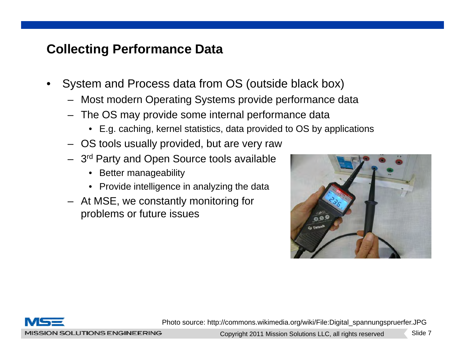- • System and Process data from OS (outside black box)
	- Most modern Operating Systems provide performance data
	- $-$  The OS may provide some internal performance data
		- E.g. caching, kernel statistics, data provided to OS by applications
	- OS tools usually provided, but are very raw
	- 3 –– 3<sup>rd</sup> Party and Open Source tools available
		- Better manageability
		- Provide intelligence in analyzing the data
	- $-$  At MSE, we constantly monitoring for problems or future issues





Photo source: http://commons.wikimedia.org/wiki/File:Digital\_spannungspruerfer.JPG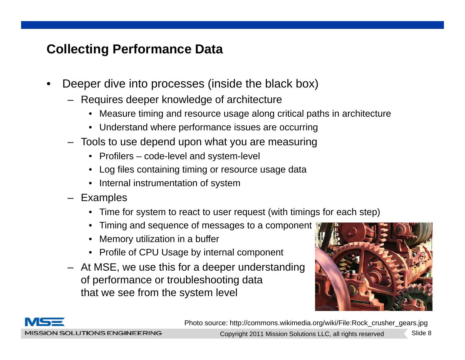- • Deeper dive into processes (inside the black box)
	- Requires deeper knowledge of architecture
		- $\bullet~$  Measure timing and resource usage along critical paths in architecture
		- Understand where performance issues are occurring
	- Tools to use depend upon what you are measuring
		- Profilers code-level and system level and system-level
		- Log files containing timing or resource usage data
		- Internal instrumentation of system
	- Exam ples
		- Time for system to react to user request (with timings for each step)
		- Timing and sequence of messages to a component
		- $\bullet$ Memory utilization in a buffer
		- Profile of CPU Usage by internal component
	- At MSE, we use this for a deeper understanding of performance or troubleshooting data that we see from the system level





MISSION SOLUTIONS ENGINEERING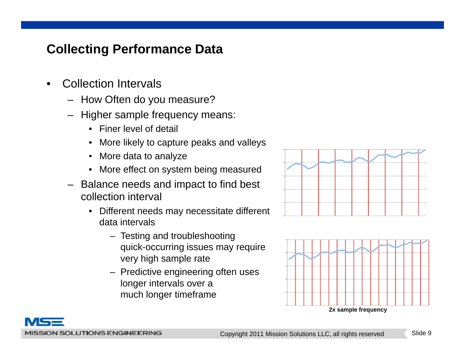- • Collection Intervals
	- How Often do you measure?
	- Higher sample frequency means:
		- Finer level of detail
		- •More likely to capture peaks and valleys
		- $\bullet$ More data to analyze
		- More effect on system being measured
	- Balance needs and impact to find best collection interval
		- Different needs may necessitate different data intervals
			- Testing and troubleshooting quick-occurring issues may require very high sample rate
			- Predictive engineering often uses longer intervals over a much longer timeframe





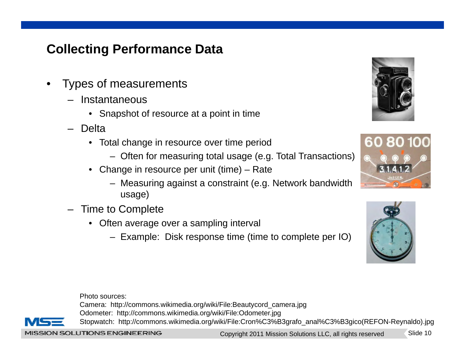- • Types of measurements
	- Instantaneous
		- $\bullet$  Snapshot of resource at a point in time
	- – Delta
		- Total change in resource over time period
			- Often for measuring total usage (e.g. Total Transactions)
		- Change in resource per unit (time) Rate
			- Measuring against a constraint (e.g. Network bandwidth usage)
	- Time to Complete
		- Often average over a sampling interval
			- Example: Disk response time (time to complete per IO)







Photo sources:

Camera: http://commons.wikimedia.org/wiki/File:Beautycord\_camera.jpg Odometer: http://commons.wikimedia.org/wiki/File:Odometer.jpg



MISSION SOLUTIONS ENGINEERING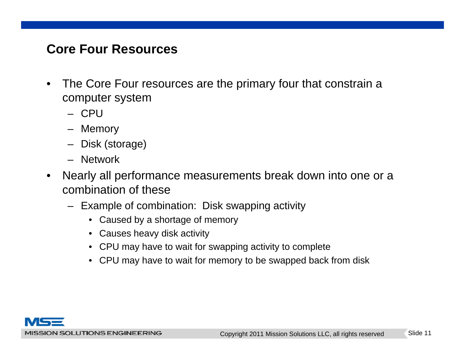#### **Core Four Resources**

- $\bullet$  The Core Four resources are the primary four that constrain a computer system
	- CPU
	- Memory
	- Disk (storage)
	- Network
- $\bullet$  Nearly all performance measurements break down into one or a combination of these
	- Example of combination: Disk swapping activity
		- Caused by a shortage of memory
		- Causes heavy disk activity
		- CPU may have to wait for swapping activity to complete
		- CPU may have to wait for memory to be swapped back from disk

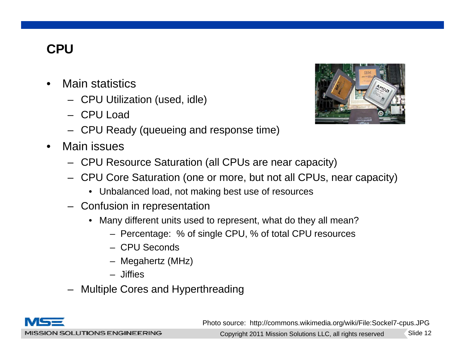## **CPU**

- • Main statistics
	- CPU Utilization (used, idle)
	- CPU Load
	- CPU Ready (queueing and response time)
- • Main issues
	- CPU Resource Saturation (all CPUs are near capacity)
	- CPU Core Saturation (one or more, but not all CPUs, near capacity)
		- Unbalanced load, not making best use of resources
	- $-$  Confusion in representation
		- Many different units used to represent, what do they all mean?
			- Percentage: % of single CPU, % of total CPU resources
			- CPU Seconds
			- Megahertz (MHz)
			- Jiffies
	- Multiple Cores and Hyperthreading



MISSION SOLUTIONS ENGINEERING

<sup>p</sup> yp gPhoto source: http://commons.wikimedia.org/wiki/File:Sockel7-cpus.JPG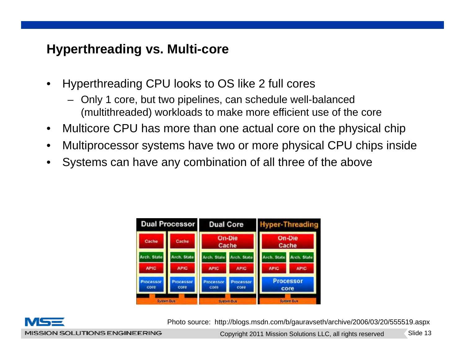#### **Hyperthreading vs. Multi-core**

- • Hyperthreading CPU looks to OS like 2 full cores
	- Only 1 core, but two pipelines, can schedule well-balanced (multithreaded) workloads to make more efficient use of the core
- $\bullet$ Multicore CPU has more than one actual core on the physical chip
- •Multiprocessor systems have two or more physical CPU chips inside
- •Systems can have any combination of all three of the above

| <b>Dual Processor</b> |                    | <b>Dual Core</b>         |                          | <b>Hyper-Threading</b>   |                    |
|-----------------------|--------------------|--------------------------|--------------------------|--------------------------|--------------------|
| Cache                 | Cache              | <b>On-Die</b><br>Cache   |                          | <b>On-Die</b><br>Cache   |                    |
| <b>Arch.</b> State    | <b>Arch. State</b> | <b>Arch.</b> State       | <b>Arch.</b> State       | <b>Arch.</b> State       | <b>Arch.</b> State |
| <b>APIC</b>           | <b>APIC</b>        | <b>APIC</b>              | <b>APIC</b>              | <b>APIC</b>              | <b>APIC</b>        |
| Processor<br>core     | rocessor<br>core   | <b>Processor</b><br>core | <b>Processor</b><br>core | <b>Processor</b><br>core |                    |
| <b>System Bus</b>     |                    | <b>System Bus</b>        |                          | <b>System Bus</b>        |                    |



Photo source: http://blogs.msdn.com/b/gauravseth/archive/2006/03/20/555519.aspx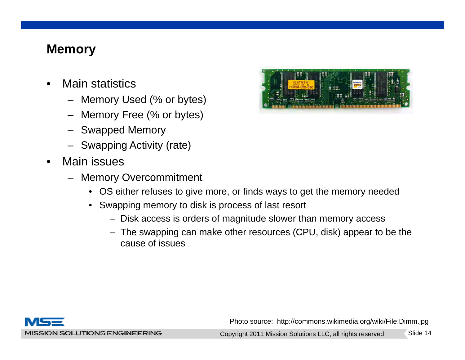#### **Memory**

- • Main statistics
	- Memory Used (% or bytes)
	- Memory Free (% or bytes)
	- Swapped Memory
	- Swapping Activity (rate)
- •• Main issues
	- Memory Overcommitment
		- OS either refuses to give more, or finds ways to get the memory needed
		- $\bullet~$  Swapping memory to disk is process of last resort
			- Disk access is orders of magnitude slower than memory access
			- The swapping can make other resources (CPU, disk) appear to be the cause of issues



Photo source: http://commons.wikimedia.org/wiki/File:Dimm.jpg

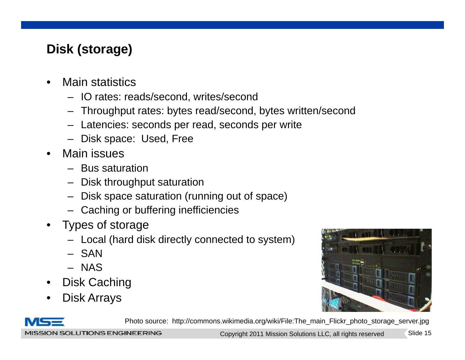## **Disk (storage)**

- • Main statistics
	- IO rates: reads/second, writes/second
	- Throughput rates: bytes read/second, bytes written/second
	- Latencies: seconds per read, seconds per write
	- Disk space: Used, Free
- • Main issues
	- Bus saturation
	- Disk throughput saturation
	- Disk space saturation (running out of space)
	- Caching or buffering inefficiencies
- • Types of storage
	- Local (hard disk directly connected to system)
	- SAN
	- NAS
- •Disk Caching
- •Disk Arrays





Photo source: http://commons.wikimedia.org/wiki/File:The\_main\_Flickr\_photo\_storage\_server.jpg

MISSION SOLUTIONS ENGINEERING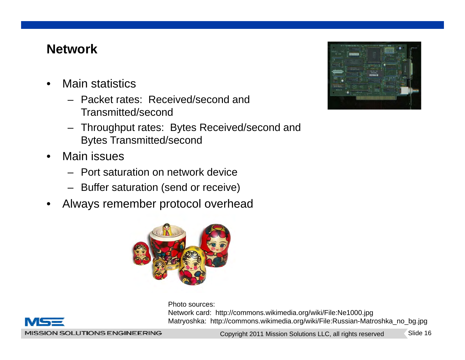## **Network**

- • Main statistics
	- Packet rates: Received/second andTransmitted/second
	- Throughput rates: Bytes Received/second and Bytes Transmitted/second
- • Main issues
	- Port saturation on network device
	- Buffer saturation (send or receive)
- •Always remember protocol overhead



Photo sources:



Network card: http://commons.wikimedia.org/wiki/File:Ne1000.jpg Matryoshka: http://commons.wikimedia.org/wiki/File:Russian-Matroshka\_no\_bg.jpg

MISSION SOLUTIONS ENGINEERING

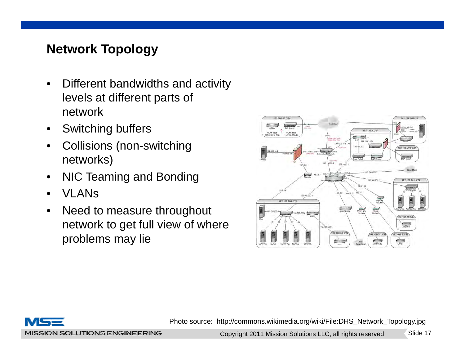## **Network Topology**

- • Different bandwidths and activity levels at different parts of network
- $\bullet$ Switching buffers
- • Collisions (non-switching networks)
- •NIC Teaming and Bonding
- •VI AN<sub>S</sub>
- $\bullet$  Need to measure throughout network to get full view of where problems may lie





Photo source: http://commons.wikimedia.org/wiki/File:DHS\_Network\_Topology.jpg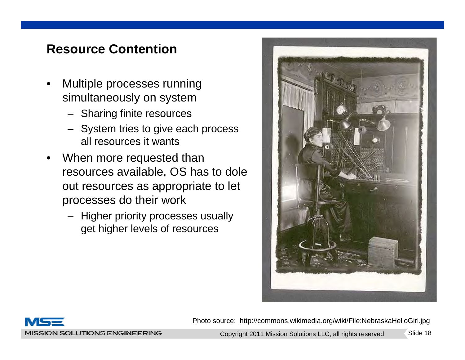#### **Resource Contention**

- • Multiple processes running simultaneously on system
	- Sharing finite resources
	- System tries to give each process all resources it wants
- •When more requested than resources available, OS has to dole out resources as appropriate to let processes do their work
	- Higher priority processes usually get higher levels of resources





Photo source: http://commons.wikimedia.org/wiki/File:NebraskaHelloGirl.jpg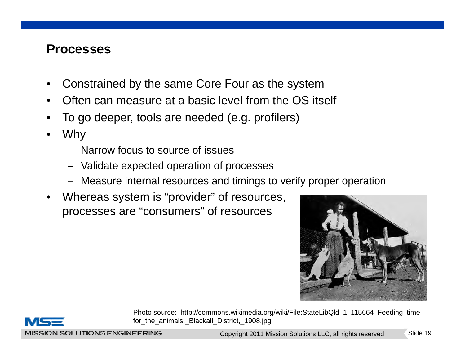#### **Processes**

- •Constrained by the same Core Four as the system
- •Often can measure at a basic level from the OS itself
- •To go deeper, tools are needed (e.g. profilers)
- • Why
	- Narrow focus to source of issues
	- Validate expected operation of processes
	- Measure internal resources and timings to verify proper operation
- •Whereas system is "provider" of resources, processes are "consumers" of resources





Photo source: http://commons.wikimedia.org/wiki/File:StateLibQld\_1\_115664\_Feeding\_time\_ for\_the\_animals,\_Blackall\_District,\_1908.jpg

MISSION SOLUTIONS ENGINEERING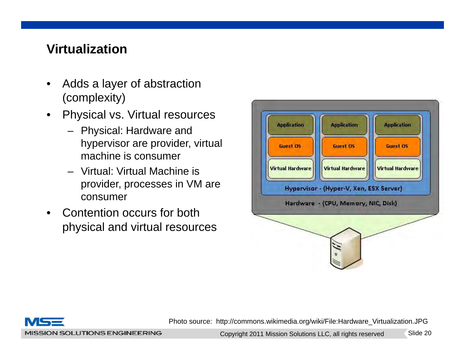## **Virtualization**

- • Adds a layer of abstraction (complexity)
- $\bullet$ Physical vs. Virtual resources
	- Physical: Hardware and hypervisor are provider, virtual machine is consumer. . . . . . .
	- Virtual: Virtual Machine is provider, processes in VM are consumer
- • Contention occurs for both physical and virtual resources





Photo source: http://commons.wikimedia.org/wiki/File:Hardware\_Virtualization.JPG

MISSION SOLUTIONS ENGINEERING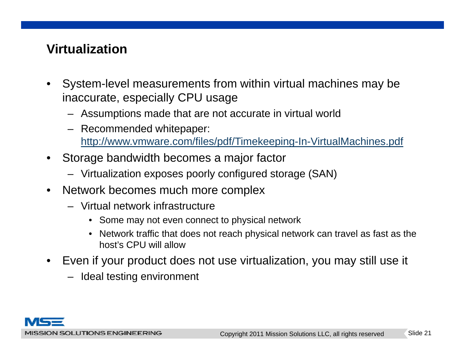## **Virtualization**

- $\bullet$  System-level measurements from within virtual machines may be inaccurate, especially CPU usage
	- $-$  Assumptions made that are not accurate in virtual world
	- Recommended whitepaper: http://www.vmware.com/files/pdf/Timekeeping-In-VirtualMachines.pdf
- $\bullet$  Storage bandwidth becomes <sup>a</sup> major factor
	- Virtualization exposes poorly configured storage (SAN)
- $\bullet$  Network becomes much more complex
	- Virtual network infrastructure
		- Some may not even connect to physical network
		- Network traffic that does not reach physical network can travel as fast as the host's CPU will allow
- • Even if your product does not use virtualization, you may still use it
	- Ideal testing environment

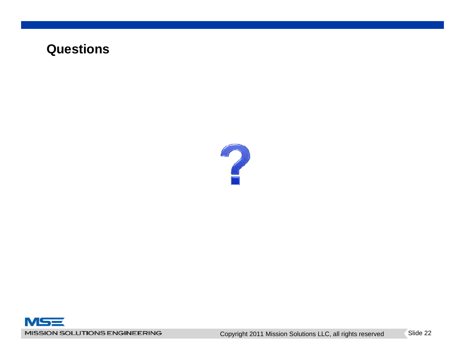#### **Questions**



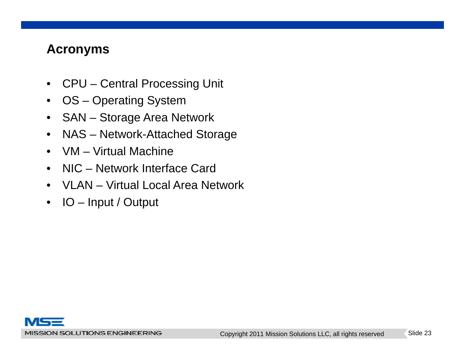#### **Acronyms**

- $\bullet$ CPU – Central Processing Unit
- $\bullet$ OS – Operating System
- $\bullet$ SAN – Storage Area Network
- $\bullet$ NAS – Network-Attached Storage
- $\bullet$ VM – Virtual Machine
- •NIC – Network Interface Card
- VLAN Virtual Local Area Network
- $\bullet$ IO – Input / Output